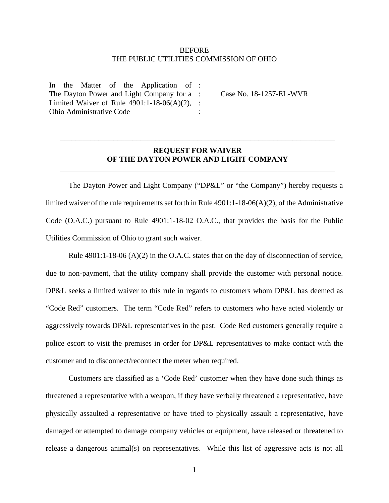## **BEFORE** THE PUBLIC UTILITIES COMMISSION OF OHIO

In the Matter of the Application of : The Dayton Power and Light Company for a : Limited Waiver of Rule 4901:1-18-06(A)(2), : Ohio Administrative Code

Case No. 18-1257-EL-WVR

## **REQUEST FOR WAIVER OF THE DAYTON POWER AND LIGHT COMPANY**

\_\_\_\_\_\_\_\_\_\_\_\_\_\_\_\_\_\_\_\_\_\_\_\_\_\_\_\_\_\_\_\_\_\_\_\_\_\_\_\_\_\_\_\_\_\_\_\_\_\_\_\_\_\_\_\_\_\_\_\_\_\_\_\_\_\_\_\_\_\_\_\_

\_\_\_\_\_\_\_\_\_\_\_\_\_\_\_\_\_\_\_\_\_\_\_\_\_\_\_\_\_\_\_\_\_\_\_\_\_\_\_\_\_\_\_\_\_\_\_\_\_\_\_\_\_\_\_\_\_\_\_\_\_\_\_\_\_\_\_\_\_\_\_\_

:

The Dayton Power and Light Company ("DP&L" or "the Company") hereby requests a limited waiver of the rule requirements set forth in Rule 4901:1-18-06(A)(2), of the Administrative Code (O.A.C.) pursuant to Rule 4901:1-18-02 O.A.C., that provides the basis for the Public Utilities Commission of Ohio to grant such waiver.

Rule  $4901:1-18-06$  (A)(2) in the O.A.C. states that on the day of disconnection of service, due to non-payment, that the utility company shall provide the customer with personal notice. DP&L seeks a limited waiver to this rule in regards to customers whom DP&L has deemed as "Code Red" customers. The term "Code Red" refers to customers who have acted violently or aggressively towards DP&L representatives in the past. Code Red customers generally require a police escort to visit the premises in order for DP&L representatives to make contact with the customer and to disconnect/reconnect the meter when required.

Customers are classified as a 'Code Red' customer when they have done such things as threatened a representative with a weapon, if they have verbally threatened a representative, have physically assaulted a representative or have tried to physically assault a representative, have damaged or attempted to damage company vehicles or equipment, have released or threatened to release a dangerous animal(s) on representatives. While this list of aggressive acts is not all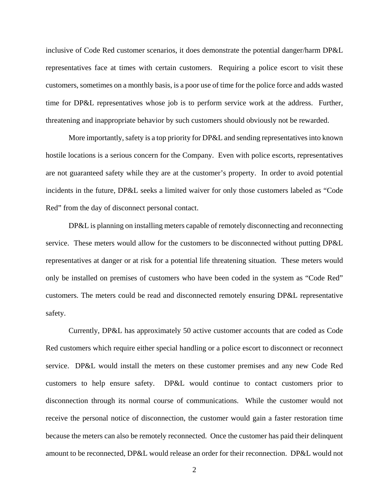inclusive of Code Red customer scenarios, it does demonstrate the potential danger/harm DP&L representatives face at times with certain customers. Requiring a police escort to visit these customers, sometimes on a monthly basis, is a poor use of time for the police force and adds wasted time for DP&L representatives whose job is to perform service work at the address. Further, threatening and inappropriate behavior by such customers should obviously not be rewarded.

More importantly, safety is a top priority for DP&L and sending representatives into known hostile locations is a serious concern for the Company. Even with police escorts, representatives are not guaranteed safety while they are at the customer's property. In order to avoid potential incidents in the future, DP&L seeks a limited waiver for only those customers labeled as "Code Red" from the day of disconnect personal contact.

DP&L is planning on installing meters capable of remotely disconnecting and reconnecting service. These meters would allow for the customers to be disconnected without putting DP&L representatives at danger or at risk for a potential life threatening situation. These meters would only be installed on premises of customers who have been coded in the system as "Code Red" customers. The meters could be read and disconnected remotely ensuring DP&L representative safety.

Currently, DP&L has approximately 50 active customer accounts that are coded as Code Red customers which require either special handling or a police escort to disconnect or reconnect service. DP&L would install the meters on these customer premises and any new Code Red customers to help ensure safety. DP&L would continue to contact customers prior to disconnection through its normal course of communications. While the customer would not receive the personal notice of disconnection, the customer would gain a faster restoration time because the meters can also be remotely reconnected. Once the customer has paid their delinquent amount to be reconnected, DP&L would release an order for their reconnection. DP&L would not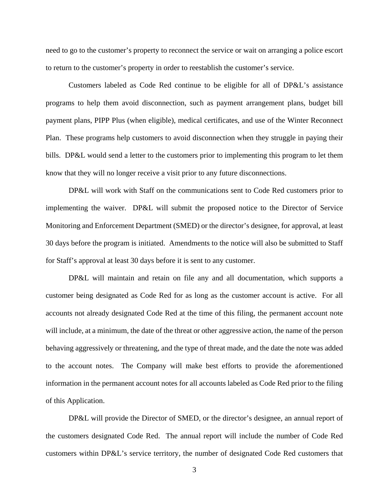need to go to the customer's property to reconnect the service or wait on arranging a police escort to return to the customer's property in order to reestablish the customer's service.

Customers labeled as Code Red continue to be eligible for all of DP&L's assistance programs to help them avoid disconnection, such as payment arrangement plans, budget bill payment plans, PIPP Plus (when eligible), medical certificates, and use of the Winter Reconnect Plan. These programs help customers to avoid disconnection when they struggle in paying their bills. DP&L would send a letter to the customers prior to implementing this program to let them know that they will no longer receive a visit prior to any future disconnections.

DP&L will work with Staff on the communications sent to Code Red customers prior to implementing the waiver. DP&L will submit the proposed notice to the Director of Service Monitoring and Enforcement Department (SMED) or the director's designee, for approval, at least 30 days before the program is initiated. Amendments to the notice will also be submitted to Staff for Staff's approval at least 30 days before it is sent to any customer.

DP&L will maintain and retain on file any and all documentation, which supports a customer being designated as Code Red for as long as the customer account is active. For all accounts not already designated Code Red at the time of this filing, the permanent account note will include, at a minimum, the date of the threat or other aggressive action, the name of the person behaving aggressively or threatening, and the type of threat made, and the date the note was added to the account notes. The Company will make best efforts to provide the aforementioned information in the permanent account notes for all accounts labeled as Code Red prior to the filing of this Application.

DP&L will provide the Director of SMED, or the director's designee, an annual report of the customers designated Code Red. The annual report will include the number of Code Red customers within DP&L's service territory, the number of designated Code Red customers that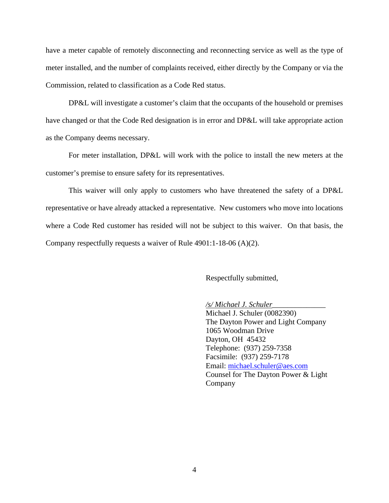have a meter capable of remotely disconnecting and reconnecting service as well as the type of meter installed, and the number of complaints received, either directly by the Company or via the Commission, related to classification as a Code Red status.

DP&L will investigate a customer's claim that the occupants of the household or premises have changed or that the Code Red designation is in error and DP&L will take appropriate action as the Company deems necessary.

For meter installation, DP&L will work with the police to install the new meters at the customer's premise to ensure safety for its representatives.

This waiver will only apply to customers who have threatened the safety of a DP&L representative or have already attacked a representative. New customers who move into locations where a Code Red customer has resided will not be subject to this waiver. On that basis, the Company respectfully requests a waiver of Rule 4901:1-18-06 (A)(2).

Respectfully submitted,

*/s/ Michael J. Schuler\_\_\_\_\_\_\_\_\_\_\_\_\_\_* 

Michael J. Schuler (0082390) The Dayton Power and Light Company 1065 Woodman Drive Dayton, OH 45432 Telephone: (937) 259-7358 Facsimile: (937) 259-7178 Email: michael.schuler@aes.com Counsel for The Dayton Power & Light Company